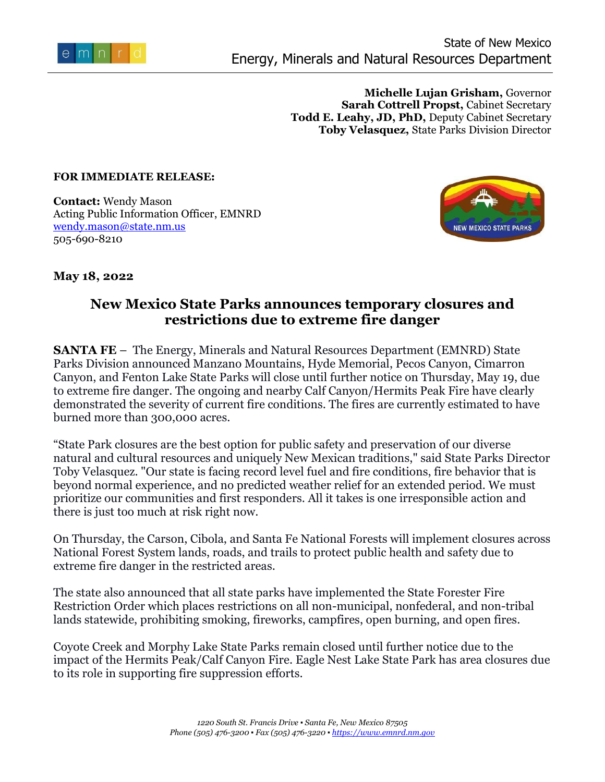

**Michelle Lujan Grisham,** Governor **Sarah Cottrell Propst,** Cabinet Secretary **Todd E. Leahy, JD, PhD,** Deputy Cabinet Secretary **Toby Velasquez,** State Parks Division Director

## **FOR IMMEDIATE RELEASE:**

**Contact:** Wendy Mason Acting Public Information Officer, EMNRD [wendy.mason@state.nm.us](mailto:wendy.mason@state.nm.us) 505-690-8210



**May 18, 2022**

## **New Mexico State Parks announces temporary closures and restrictions due to extreme fire danger**

**SANTA FE** – The Energy, Minerals and Natural Resources Department (EMNRD) State Parks Division announced Manzano Mountains, Hyde Memorial, Pecos Canyon, Cimarron Canyon, and Fenton Lake State Parks will close until further notice on Thursday, May 19, due to extreme fire danger. The ongoing and nearby Calf Canyon/Hermits Peak Fire have clearly demonstrated the severity of current fire conditions. The fires are currently estimated to have burned more than 300,000 acres.

"State Park closures are the best option for public safety and preservation of our diverse natural and cultural resources and uniquely New Mexican traditions," said State Parks Director Toby Velasquez. "Our state is facing record level fuel and fire conditions, fire behavior that is beyond normal experience, and no predicted weather relief for an extended period. We must prioritize our communities and first responders. All it takes is one irresponsible action and there is just too much at risk right now.

On Thursday, the Carson, Cibola, and Santa Fe National Forests will implement closures across National Forest System lands, roads, and trails to protect public health and safety due to extreme fire danger in the restricted areas.

The state also announced that all state parks have implemented the State Forester Fire Restriction Order which places restrictions on all non-municipal, nonfederal, and non-tribal lands statewide, prohibiting smoking, fireworks, campfires, open burning, and open fires.

Coyote Creek and Morphy Lake State Parks remain closed until further notice due to the impact of the Hermits Peak/Calf Canyon Fire. Eagle Nest Lake State Park has area closures due to its role in supporting fire suppression efforts.